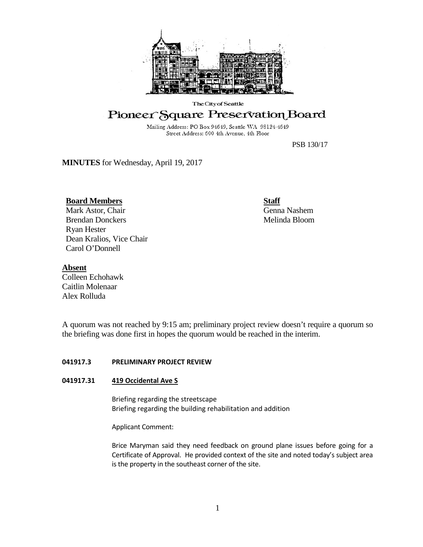

## The City of Seattle

# Pioneer Square Preservation Board

Mailing Address: PO Box 94649, Seattle WA 98124-4649 Street Address: 600 4th Avenue, 4th Floor

PSB 130/17

**MINUTES** for Wednesday, April 19, 2017

# **Board Members**

Mark Astor, Chair Brendan Donckers Ryan Hester Dean Kralios, Vice Chair Carol O'Donnell

**Staff** Genna Nashem Melinda Bloom

# **Absent**

Colleen Echohawk Caitlin Molenaar Alex Rolluda

A quorum was not reached by 9:15 am; preliminary project review doesn't require a quorum so the briefing was done first in hopes the quorum would be reached in the interim.

# **041917.3 PRELIMINARY PROJECT REVIEW**

# **041917.31 419 Occidental Ave S**

Briefing regarding the streetscape Briefing regarding the building rehabilitation and addition

Applicant Comment:

Brice Maryman said they need feedback on ground plane issues before going for a Certificate of Approval. He provided context of the site and noted today's subject area is the property in the southeast corner of the site.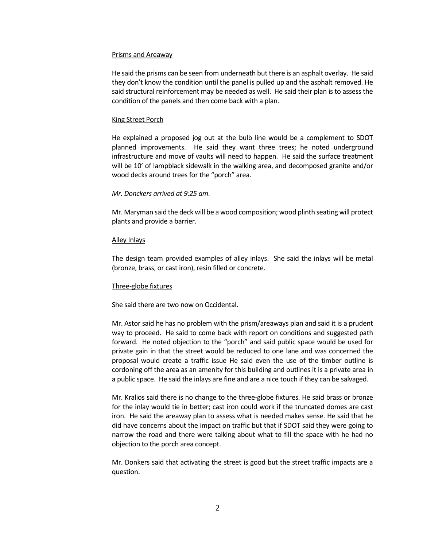#### Prisms and Areaway

He said the prisms can be seen from underneath but there is an asphalt overlay. He said they don't know the condition until the panel is pulled up and the asphalt removed. He said structural reinforcement may be needed as well. He said their plan is to assess the condition of the panels and then come back with a plan.

## King Street Porch

He explained a proposed jog out at the bulb line would be a complement to SDOT planned improvements. He said they want three trees; he noted underground infrastructure and move of vaults will need to happen. He said the surface treatment will be 10' of lampblack sidewalk in the walking area, and decomposed granite and/or wood decks around trees for the "porch" area.

## *Mr. Donckers arrived at 9:25 am.*

Mr. Maryman said the deck will be a wood composition; wood plinth seating will protect plants and provide a barrier.

## Alley Inlays

The design team provided examples of alley inlays. She said the inlays will be metal (bronze, brass, or cast iron), resin filled or concrete.

#### Three-globe fixtures

She said there are two now on Occidental.

Mr. Astor said he has no problem with the prism/areaways plan and said it is a prudent way to proceed. He said to come back with report on conditions and suggested path forward. He noted objection to the "porch" and said public space would be used for private gain in that the street would be reduced to one lane and was concerned the proposal would create a traffic issue He said even the use of the timber outline is cordoning off the area as an amenity for this building and outlines it is a private area in a public space. He said the inlays are fine and are a nice touch if they can be salvaged.

Mr. Kralios said there is no change to the three-globe fixtures. He said brass or bronze for the inlay would tie in better; cast iron could work if the truncated domes are cast iron. He said the areaway plan to assess what is needed makes sense. He said that he did have concerns about the impact on traffic but that if SDOT said they were going to narrow the road and there were talking about what to fill the space with he had no objection to the porch area concept.

Mr. Donkers said that activating the street is good but the street traffic impacts are a question.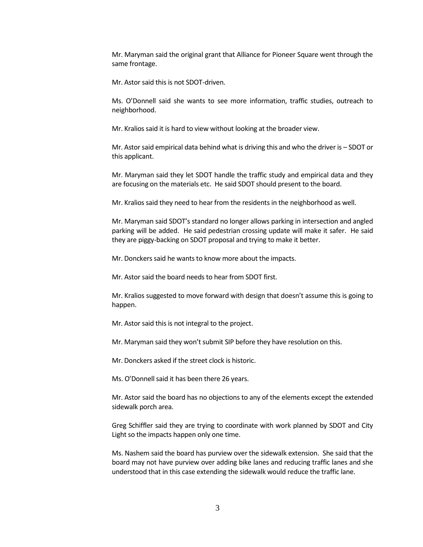Mr. Maryman said the original grant that Alliance for Pioneer Square went through the same frontage.

Mr. Astor said this is not SDOT-driven.

Ms. O'Donnell said she wants to see more information, traffic studies, outreach to neighborhood.

Mr. Kralios said it is hard to view without looking at the broader view.

Mr. Astor said empirical data behind what is driving this and who the driver is – SDOT or this applicant.

Mr. Maryman said they let SDOT handle the traffic study and empirical data and they are focusing on the materials etc. He said SDOT should present to the board.

Mr. Kralios said they need to hear from the residents in the neighborhood as well.

Mr. Maryman said SDOT's standard no longer allows parking in intersection and angled parking will be added. He said pedestrian crossing update will make it safer. He said they are piggy-backing on SDOT proposal and trying to make it better.

Mr. Donckers said he wants to know more about the impacts.

Mr. Astor said the board needs to hear from SDOT first.

Mr. Kralios suggested to move forward with design that doesn't assume this is going to happen.

Mr. Astor said this is not integral to the project.

Mr. Maryman said they won't submit SIP before they have resolution on this.

Mr. Donckers asked if the street clock is historic.

Ms. O'Donnell said it has been there 26 years.

Mr. Astor said the board has no objections to any of the elements except the extended sidewalk porch area.

Greg Schiffler said they are trying to coordinate with work planned by SDOT and City Light so the impacts happen only one time.

Ms. Nashem said the board has purview over the sidewalk extension. She said that the board may not have purview over adding bike lanes and reducing traffic lanes and she understood that in this case extending the sidewalk would reduce the traffic lane.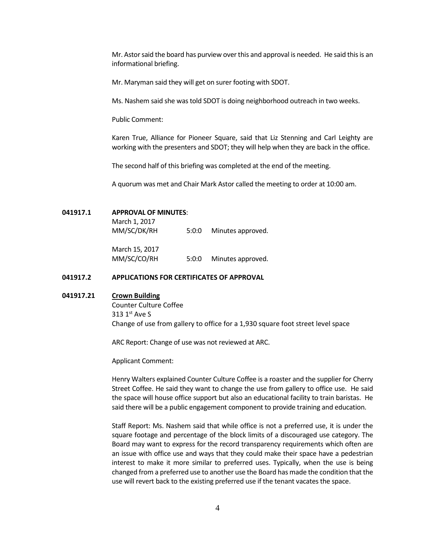Mr. Astor said the board has purview over this and approval is needed. He said this is an informational briefing.

Mr. Maryman said they will get on surer footing with SDOT.

Ms. Nashem said she was told SDOT is doing neighborhood outreach in two weeks.

Public Comment:

Karen True, Alliance for Pioneer Square, said that Liz Stenning and Carl Leighty are working with the presenters and SDOT; they will help when they are back in the office.

The second half of this briefing was completed at the end of the meeting.

A quorum was met and Chair Mark Astor called the meeting to order at 10:00 am.

#### **041917.1 APPROVAL OF MINUTES**:

March 1, 2017 MM/SC/DK/RH 5:0:0 Minutes approved.

March 15, 2017

MM/SC/CO/RH 5:0:0 Minutes approved.

# **041917.2 APPLICATIONS FOR CERTIFICATES OF APPROVAL**

## **041917.21 Crown Building**

Counter Culture Coffee 313 1st Ave S Change of use from gallery to office for a 1,930 square foot street level space

ARC Report: Change of use was not reviewed at ARC.

Applicant Comment:

Henry Walters explained Counter Culture Coffee is a roaster and the supplier for Cherry Street Coffee. He said they want to change the use from gallery to office use. He said the space will house office support but also an educational facility to train baristas. He said there will be a public engagement component to provide training and education.

Staff Report: Ms. Nashem said that while office is not a preferred use, it is under the square footage and percentage of the block limits of a discouraged use category. The Board may want to express for the record transparency requirements which often are an issue with office use and ways that they could make their space have a pedestrian interest to make it more similar to preferred uses. Typically, when the use is being changed from a preferred use to another use the Board has made the condition that the use will revert back to the existing preferred use if the tenant vacates the space.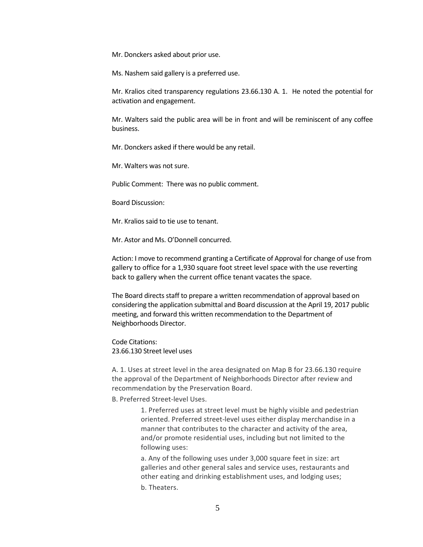Mr. Donckers asked about prior use.

Ms. Nashem said gallery is a preferred use.

Mr. Kralios cited transparency regulations 23.66.130 A. 1. He noted the potential for activation and engagement.

Mr. Walters said the public area will be in front and will be reminiscent of any coffee business.

Mr. Donckers asked if there would be any retail.

Mr. Walters was not sure.

Public Comment: There was no public comment.

Board Discussion:

Mr. Kralios said to tie use to tenant.

Mr. Astor and Ms. O'Donnell concurred.

Action: I move to recommend granting a Certificate of Approval for change of use from gallery to office for a 1,930 square foot street level space with the use reverting back to gallery when the current office tenant vacates the space.

The Board directs staff to prepare a written recommendation of approval based on considering the application submittal and Board discussion at the April 19, 2017 public meeting, and forward this written recommendation to the Department of Neighborhoods Director.

Code Citations: 23.66.130 Street level uses

A. 1. Uses at street level in the area designated on Map B for 23.66.130 require the approval of the Department of Neighborhoods Director after review and recommendation by the Preservation Board.

B. Preferred Street-level Uses.

1. Preferred uses at street level must be highly visible and pedestrian oriented. Preferred street-level uses either display merchandise in a manner that contributes to the character and activity of the area, and/or promote residential uses, including but not limited to the following uses:

a. Any of the following uses under 3,000 square feet in size: art galleries and other general sales and service uses, restaurants and other eating and drinking establishment uses, and lodging uses; b. Theaters.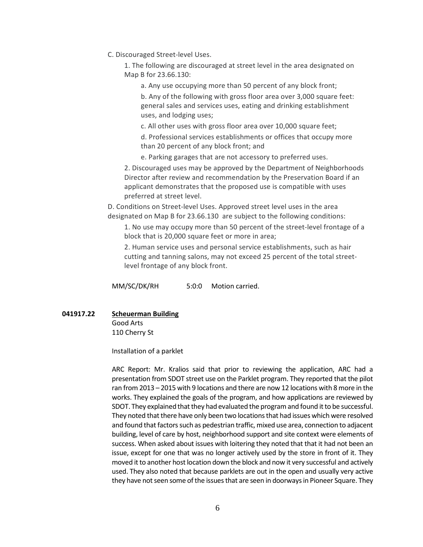C. Discouraged Street-level Uses.

1. The following are discouraged at street level in the area designated on Map B for 23.66.130:

a. Any use occupying more than 50 percent of any block front;

b. Any of the following with gross floor area over 3,000 square feet: general sales and services uses, eating and drinking establishment uses, and lodging uses;

c. All other uses with gross floor area over 10,000 square feet; d. Professional services establishments or offices that occupy more than 20 percent of any block front; and

e. Parking garages that are not accessory to preferred uses.

2. Discouraged uses may be approved by the Department of Neighborhoods Director after review and recommendation by the Preservation Board if an applicant demonstrates that the proposed use is compatible with uses preferred at street level.

D. Conditions on Street-level Uses. Approved street level uses in the area designated on Map B for 23.66.130 are subject to the following conditions:

1. No use may occupy more than 50 percent of the street-level frontage of a block that is 20,000 square feet or more in area;

2. Human service uses and personal service establishments, such as hair cutting and tanning salons, may not exceed 25 percent of the total streetlevel frontage of any block front.

MM/SC/DK/RH 5:0:0 Motion carried.

**041917.22 Scheuerman Building**

Good Arts 110 Cherry St

Installation of a parklet

ARC Report: Mr. Kralios said that prior to reviewing the application, ARC had a presentation from SDOT street use on the Parklet program. They reported that the pilot ran from 2013 – 2015 with 9 locations and there are now 12 locations with 8 more in the works. They explained the goals of the program, and how applications are reviewed by SDOT. They explained that they had evaluated the program and found it to be successful. They noted that there have only been two locations that had issues which were resolved and found that factors such as pedestrian traffic, mixed use area, connection to adjacent building, level of care by host, neighborhood support and site context were elements of success. When asked about issues with loitering they noted that that it had not been an issue, except for one that was no longer actively used by the store in front of it. They moved it to another host location down the block and now it very successful and actively used. They also noted that because parklets are out in the open and usually very active they have not seen some of the issues that are seen in doorways in Pioneer Square. They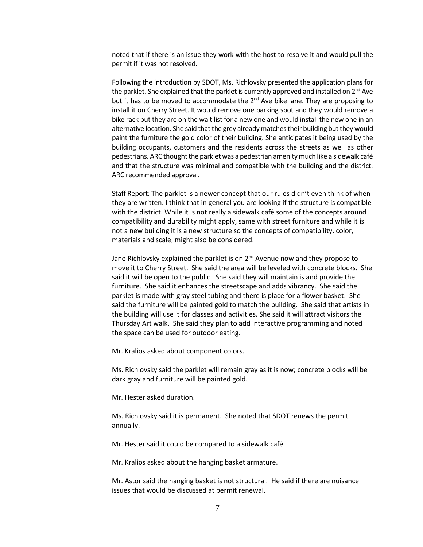noted that if there is an issue they work with the host to resolve it and would pull the permit if it was not resolved.

Following the introduction by SDOT, Ms. Richlovsky presented the application plans for the parklet. She explained that the parklet is currently approved and installed on  $2^{nd}$  Ave but it has to be moved to accommodate the  $2<sup>nd</sup>$  Ave bike lane. They are proposing to install it on Cherry Street. It would remove one parking spot and they would remove a bike rack but they are on the wait list for a new one and would install the new one in an alternative location. She said that the grey already matches their building but they would paint the furniture the gold color of their building. She anticipates it being used by the building occupants, customers and the residents across the streets as well as other pedestrians. ARC thought the parklet was a pedestrian amenity much like a sidewalk café and that the structure was minimal and compatible with the building and the district. ARC recommended approval.

Staff Report: The parklet is a newer concept that our rules didn't even think of when they are written. I think that in general you are looking if the structure is compatible with the district. While it is not really a sidewalk café some of the concepts around compatibility and durability might apply, same with street furniture and while it is not a new building it is a new structure so the concepts of compatibility, color, materials and scale, might also be considered.

Jane Richlovsky explained the parklet is on  $2^{nd}$  Avenue now and they propose to move it to Cherry Street. She said the area will be leveled with concrete blocks. She said it will be open to the public. She said they will maintain is and provide the furniture. She said it enhances the streetscape and adds vibrancy. She said the parklet is made with gray steel tubing and there is place for a flower basket. She said the furniture will be painted gold to match the building. She said that artists in the building will use it for classes and activities. She said it will attract visitors the Thursday Art walk. She said they plan to add interactive programming and noted the space can be used for outdoor eating.

Mr. Kralios asked about component colors.

Ms. Richlovsky said the parklet will remain gray as it is now; concrete blocks will be dark gray and furniture will be painted gold.

Mr. Hester asked duration.

Ms. Richlovsky said it is permanent. She noted that SDOT renews the permit annually.

Mr. Hester said it could be compared to a sidewalk café.

Mr. Kralios asked about the hanging basket armature.

Mr. Astor said the hanging basket is not structural. He said if there are nuisance issues that would be discussed at permit renewal.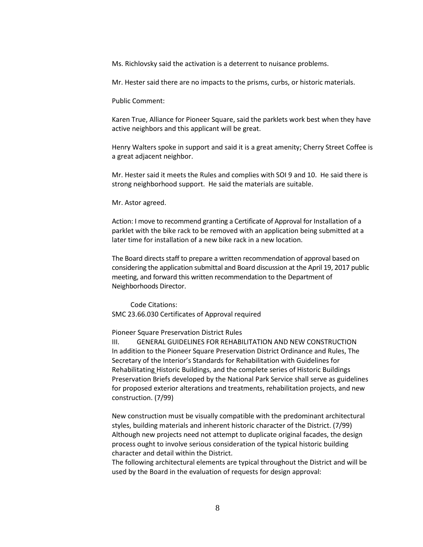Ms. Richlovsky said the activation is a deterrent to nuisance problems.

Mr. Hester said there are no impacts to the prisms, curbs, or historic materials.

Public Comment:

Karen True, Alliance for Pioneer Square, said the parklets work best when they have active neighbors and this applicant will be great.

Henry Walters spoke in support and said it is a great amenity; Cherry Street Coffee is a great adjacent neighbor.

Mr. Hester said it meets the Rules and complies with SOI 9 and 10. He said there is strong neighborhood support. He said the materials are suitable.

Mr. Astor agreed.

Action: I move to recommend granting a Certificate of Approval for Installation of a parklet with the bike rack to be removed with an application being submitted at a later time for installation of a new bike rack in a new location.

The Board directs staff to prepare a written recommendation of approval based on considering the application submittal and Board discussion at the April 19, 2017 public meeting, and forward this written recommendation to the Department of Neighborhoods Director.

Code Citations: SMC 23.66.030 Certificates of Approval required

Pioneer Square Preservation District Rules

III. GENERAL GUIDELINES FOR REHABILITATION AND NEW CONSTRUCTION In addition to the Pioneer Square Preservation District Ordinance and Rules, The Secretary of the Interior's Standards for Rehabilitation with Guidelines for Rehabilitating Historic Buildings, and the complete series of Historic Buildings Preservation Briefs developed by the National Park Service shall serve as guidelines for proposed exterior alterations and treatments, rehabilitation projects, and new construction. (7/99)

New construction must be visually compatible with the predominant architectural styles, building materials and inherent historic character of the District. (7/99) Although new projects need not attempt to duplicate original facades, the design process ought to involve serious consideration of the typical historic building character and detail within the District.

The following architectural elements are typical throughout the District and will be used by the Board in the evaluation of requests for design approval: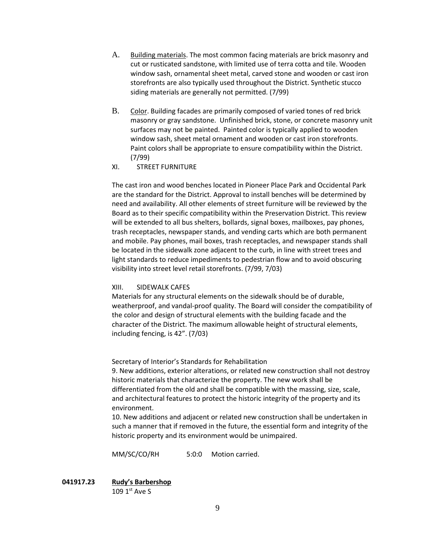- A. Building materials. The most common facing materials are brick masonry and cut or rusticated sandstone, with limited use of terra cotta and tile. Wooden window sash, ornamental sheet metal, carved stone and wooden or cast iron storefronts are also typically used throughout the District. Synthetic stucco siding materials are generally not permitted. (7/99)
- B. Color. Building facades are primarily composed of varied tones of red brick masonry or gray sandstone. Unfinished brick, stone, or concrete masonry unit surfaces may not be painted. Painted color is typically applied to wooden window sash, sheet metal ornament and wooden or cast iron storefronts. Paint colors shall be appropriate to ensure compatibility within the District. (7/99)
- XI. STREET FURNITURE

The cast iron and wood benches located in Pioneer Place Park and Occidental Park are the standard for the District. Approval to install benches will be determined by need and availability. All other elements of street furniture will be reviewed by the Board as to their specific compatibility within the Preservation District. This review will be extended to all bus shelters, bollards, signal boxes, mailboxes, pay phones, trash receptacles, newspaper stands, and vending carts which are both permanent and mobile. Pay phones, mail boxes, trash receptacles, and newspaper stands shall be located in the sidewalk zone adjacent to the curb, in line with street trees and light standards to reduce impediments to pedestrian flow and to avoid obscuring visibility into street level retail storefronts. (7/99, 7/03)

# XIII. SIDEWALK CAFES

Materials for any structural elements on the sidewalk should be of durable, weatherproof, and vandal-proof quality. The Board will consider the compatibility of the color and design of structural elements with the building facade and the character of the District. The maximum allowable height of structural elements, including fencing, is 42". (7/03)

Secretary of Interior's Standards for Rehabilitation

9. New additions, exterior alterations, or related new construction shall not destroy historic materials that characterize the property. The new work shall be differentiated from the old and shall be compatible with the massing, size, scale, and architectural features to protect the historic integrity of the property and its environment.

10. New additions and adjacent or related new construction shall be undertaken in such a manner that if removed in the future, the essential form and integrity of the historic property and its environment would be unimpaired.

MM/SC/CO/RH 5:0:0 Motion carried.

**041917.23 Rudy's Barbershop** 109  $1<sup>st</sup>$  Ave S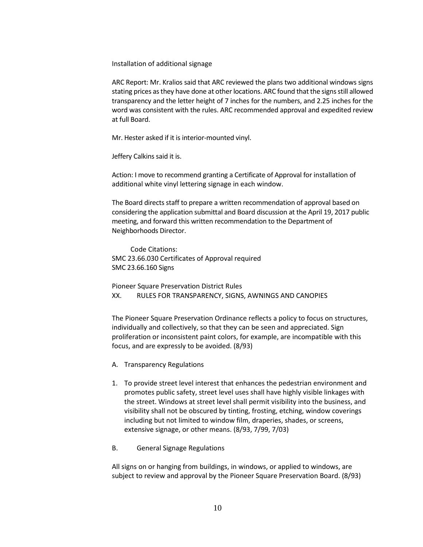Installation of additional signage

ARC Report: Mr. Kralios said that ARC reviewed the plans two additional windows signs stating prices as they have done at other locations. ARC found that the signs still allowed transparency and the letter height of 7 inches for the numbers, and 2.25 inches for the word was consistent with the rules. ARC recommended approval and expedited review at full Board.

Mr. Hester asked if it is interior-mounted vinyl.

Jeffery Calkins said it is.

Action: I move to recommend granting a Certificate of Approval for installation of additional white vinyl lettering signage in each window.

The Board directs staff to prepare a written recommendation of approval based on considering the application submittal and Board discussion at the April 19, 2017 public meeting, and forward this written recommendation to the Department of Neighborhoods Director.

Code Citations: SMC 23.66.030 Certificates of Approval required SMC 23.66.160 Signs

Pioneer Square Preservation District Rules XX. RULES FOR TRANSPARENCY, SIGNS, AWNINGS AND CANOPIES

The Pioneer Square Preservation Ordinance reflects a policy to focus on structures, individually and collectively, so that they can be seen and appreciated. Sign proliferation or inconsistent paint colors, for example, are incompatible with this focus, and are expressly to be avoided. (8/93)

- A. Transparency Regulations
- 1. To provide street level interest that enhances the pedestrian environment and promotes public safety, street level uses shall have highly visible linkages with the street. Windows at street level shall permit visibility into the business, and visibility shall not be obscured by tinting, frosting, etching, window coverings including but not limited to window film, draperies, shades, or screens, extensive signage, or other means. (8/93, 7/99, 7/03)
- B. General Signage Regulations

All signs on or hanging from buildings, in windows, or applied to windows, are subject to review and approval by the Pioneer Square Preservation Board. (8/93)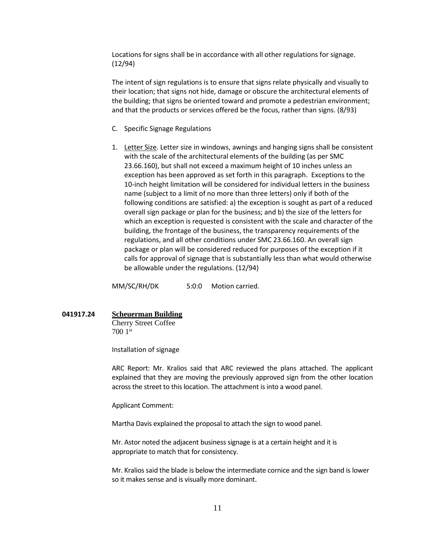Locations for signs shall be in accordance with all other regulations for signage. (12/94)

The intent of sign regulations is to ensure that signs relate physically and visually to their location; that signs not hide, damage or obscure the architectural elements of the building; that signs be oriented toward and promote a pedestrian environment; and that the products or services offered be the focus, rather than signs. (8/93)

- C. Specific Signage Regulations
- 1. Letter Size. Letter size in windows, awnings and hanging signs shall be consistent with the scale of the architectural elements of the building (as per SMC 23.66.160), but shall not exceed a maximum height of 10 inches unless an exception has been approved as set forth in this paragraph. Exceptions to the 10-inch height limitation will be considered for individual letters in the business name (subject to a limit of no more than three letters) only if both of the following conditions are satisfied: a) the exception is sought as part of a reduced overall sign package or plan for the business; and b) the size of the letters for which an exception is requested is consistent with the scale and character of the building, the frontage of the business, the transparency requirements of the regulations, and all other conditions under SMC 23.66.160. An overall sign package or plan will be considered reduced for purposes of the exception if it calls for approval of signage that is substantially less than what would otherwise be allowable under the regulations. (12/94)

MM/SC/RH/DK 5:0:0 Motion carried.

#### **041917.24 Scheuerman Building**

Cherry Street Coffee 700 1st

Installation of signage

ARC Report: Mr. Kralios said that ARC reviewed the plans attached. The applicant explained that they are moving the previously approved sign from the other location across the street to this location. The attachment is into a wood panel.

Applicant Comment:

Martha Davis explained the proposal to attach the sign to wood panel.

Mr. Astor noted the adjacent business signage is at a certain height and it is appropriate to match that for consistency.

Mr. Kralios said the blade is below the intermediate cornice and the sign band is lower so it makes sense and is visually more dominant.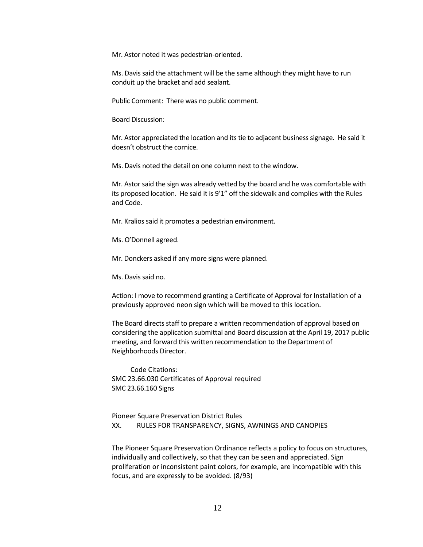Mr. Astor noted it was pedestrian-oriented.

Ms. Davis said the attachment will be the same although they might have to run conduit up the bracket and add sealant.

Public Comment: There was no public comment.

Board Discussion:

Mr. Astor appreciated the location and its tie to adjacent business signage. He said it doesn't obstruct the cornice.

Ms. Davis noted the detail on one column next to the window.

Mr. Astor said the sign was already vetted by the board and he was comfortable with its proposed location. He said it is 9'1" off the sidewalk and complies with the Rules and Code.

Mr. Kralios said it promotes a pedestrian environment.

Ms. O'Donnell agreed.

Mr. Donckers asked if any more signs were planned.

Ms. Davis said no.

Action: I move to recommend granting a Certificate of Approval for Installation of a previously approved neon sign which will be moved to this location.

The Board directs staff to prepare a written recommendation of approval based on considering the application submittal and Board discussion at the April 19, 2017 public meeting, and forward this written recommendation to the Department of Neighborhoods Director.

Code Citations: SMC 23.66.030 Certificates of Approval required SMC 23.66.160 Signs

Pioneer Square Preservation District Rules XX. RULES FOR TRANSPARENCY, SIGNS, AWNINGS AND CANOPIES

The Pioneer Square Preservation Ordinance reflects a policy to focus on structures, individually and collectively, so that they can be seen and appreciated. Sign proliferation or inconsistent paint colors, for example, are incompatible with this focus, and are expressly to be avoided. (8/93)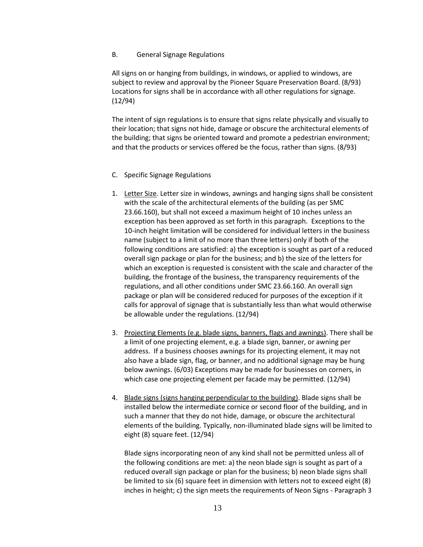# B. General Signage Regulations

All signs on or hanging from buildings, in windows, or applied to windows, are subject to review and approval by the Pioneer Square Preservation Board. (8/93) Locations for signs shall be in accordance with all other regulations for signage. (12/94)

The intent of sign regulations is to ensure that signs relate physically and visually to their location; that signs not hide, damage or obscure the architectural elements of the building; that signs be oriented toward and promote a pedestrian environment; and that the products or services offered be the focus, rather than signs. (8/93)

# C. Specific Signage Regulations

- 1. Letter Size. Letter size in windows, awnings and hanging signs shall be consistent with the scale of the architectural elements of the building (as per SMC 23.66.160), but shall not exceed a maximum height of 10 inches unless an exception has been approved as set forth in this paragraph. Exceptions to the 10-inch height limitation will be considered for individual letters in the business name (subject to a limit of no more than three letters) only if both of the following conditions are satisfied: a) the exception is sought as part of a reduced overall sign package or plan for the business; and b) the size of the letters for which an exception is requested is consistent with the scale and character of the building, the frontage of the business, the transparency requirements of the regulations, and all other conditions under SMC 23.66.160. An overall sign package or plan will be considered reduced for purposes of the exception if it calls for approval of signage that is substantially less than what would otherwise be allowable under the regulations. (12/94)
- 3. Projecting Elements (e.g. blade signs, banners, flags and awnings). There shall be a limit of one projecting element, e.g. a blade sign, banner, or awning per address. If a business chooses awnings for its projecting element, it may not also have a blade sign, flag, or banner, and no additional signage may be hung below awnings. (6/03) Exceptions may be made for businesses on corners, in which case one projecting element per facade may be permitted. (12/94)
- 4. Blade signs (signs hanging perpendicular to the building). Blade signs shall be installed below the intermediate cornice or second floor of the building, and in such a manner that they do not hide, damage, or obscure the architectural elements of the building. Typically, non-illuminated blade signs will be limited to eight (8) square feet. (12/94)

Blade signs incorporating neon of any kind shall not be permitted unless all of the following conditions are met: a) the neon blade sign is sought as part of a reduced overall sign package or plan for the business; b) neon blade signs shall be limited to six (6) square feet in dimension with letters not to exceed eight (8) inches in height; c) the sign meets the requirements of Neon Signs - Paragraph 3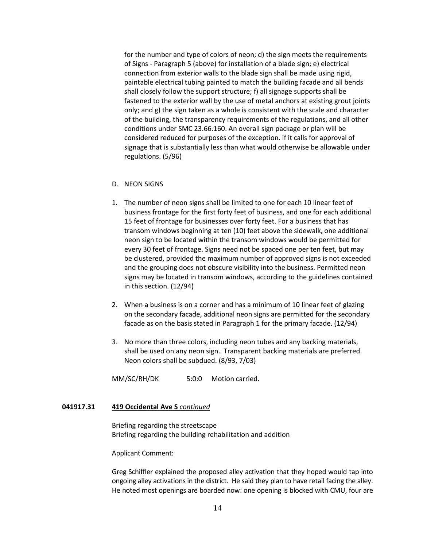for the number and type of colors of neon; d) the sign meets the requirements of Signs - Paragraph 5 (above) for installation of a blade sign; e) electrical connection from exterior walls to the blade sign shall be made using rigid, paintable electrical tubing painted to match the building facade and all bends shall closely follow the support structure; f) all signage supports shall be fastened to the exterior wall by the use of metal anchors at existing grout joints only; and g) the sign taken as a whole is consistent with the scale and character of the building, the transparency requirements of the regulations, and all other conditions under SMC 23.66.160. An overall sign package or plan will be considered reduced for purposes of the exception. if it calls for approval of signage that is substantially less than what would otherwise be allowable under regulations. (5/96)

# D. NEON SIGNS

- 1. The number of neon signs shall be limited to one for each 10 linear feet of business frontage for the first forty feet of business, and one for each additional 15 feet of frontage for businesses over forty feet. For a business that has transom windows beginning at ten (10) feet above the sidewalk, one additional neon sign to be located within the transom windows would be permitted for every 30 feet of frontage. Signs need not be spaced one per ten feet, but may be clustered, provided the maximum number of approved signs is not exceeded and the grouping does not obscure visibility into the business. Permitted neon signs may be located in transom windows, according to the guidelines contained in this section. (12/94)
- 2. When a business is on a corner and has a minimum of 10 linear feet of glazing on the secondary facade, additional neon signs are permitted for the secondary facade as on the basis stated in Paragraph 1 for the primary facade. (12/94)
- 3. No more than three colors, including neon tubes and any backing materials, shall be used on any neon sign. Transparent backing materials are preferred. Neon colors shall be subdued. (8/93, 7/03)

MM/SC/RH/DK 5:0:0 Motion carried.

# **041917.31 419 Occidental Ave S** *continued*

Briefing regarding the streetscape Briefing regarding the building rehabilitation and addition

Applicant Comment:

Greg Schiffler explained the proposed alley activation that they hoped would tap into ongoing alley activations in the district. He said they plan to have retail facing the alley. He noted most openings are boarded now: one opening is blocked with CMU, four are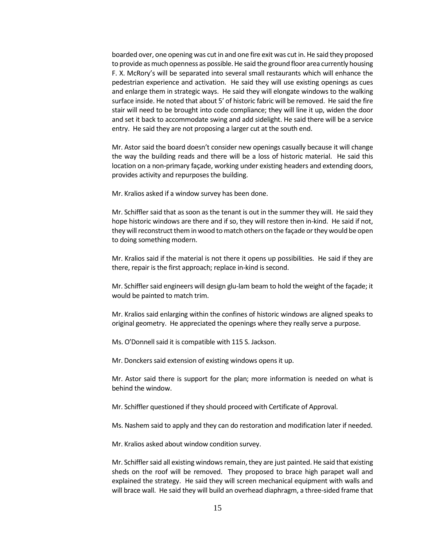boarded over, one opening was cut in and one fire exit was cut in. He said they proposed to provide as much openness as possible. He said the ground floor area currently housing F. X. McRory's will be separated into several small restaurants which will enhance the pedestrian experience and activation. He said they will use existing openings as cues and enlarge them in strategic ways. He said they will elongate windows to the walking surface inside. He noted that about 5' of historic fabric will be removed. He said the fire stair will need to be brought into code compliance; they will line it up, widen the door and set it back to accommodate swing and add sidelight. He said there will be a service entry. He said they are not proposing a larger cut at the south end.

Mr. Astor said the board doesn't consider new openings casually because it will change the way the building reads and there will be a loss of historic material. He said this location on a non-primary façade, working under existing headers and extending doors, provides activity and repurposes the building.

Mr. Kralios asked if a window survey has been done.

Mr. Schiffler said that as soon as the tenant is out in the summer they will. He said they hope historic windows are there and if so, they will restore then in-kind. He said if not, they will reconstruct them in wood to match others on the façade or they would be open to doing something modern.

Mr. Kralios said if the material is not there it opens up possibilities. He said if they are there, repair is the first approach; replace in-kind is second.

Mr. Schiffler said engineers will design glu-lam beam to hold the weight of the façade; it would be painted to match trim.

Mr. Kralios said enlarging within the confines of historic windows are aligned speaks to original geometry. He appreciated the openings where they really serve a purpose.

Ms. O'Donnell said it is compatible with 115 S. Jackson.

Mr. Donckers said extension of existing windows opens it up.

Mr. Astor said there is support for the plan; more information is needed on what is behind the window.

Mr. Schiffler questioned if they should proceed with Certificate of Approval.

Ms. Nashem said to apply and they can do restoration and modification later if needed.

Mr. Kralios asked about window condition survey.

Mr. Schiffler said all existing windows remain, they are just painted. He said that existing sheds on the roof will be removed. They proposed to brace high parapet wall and explained the strategy. He said they will screen mechanical equipment with walls and will brace wall. He said they will build an overhead diaphragm, a three-sided frame that